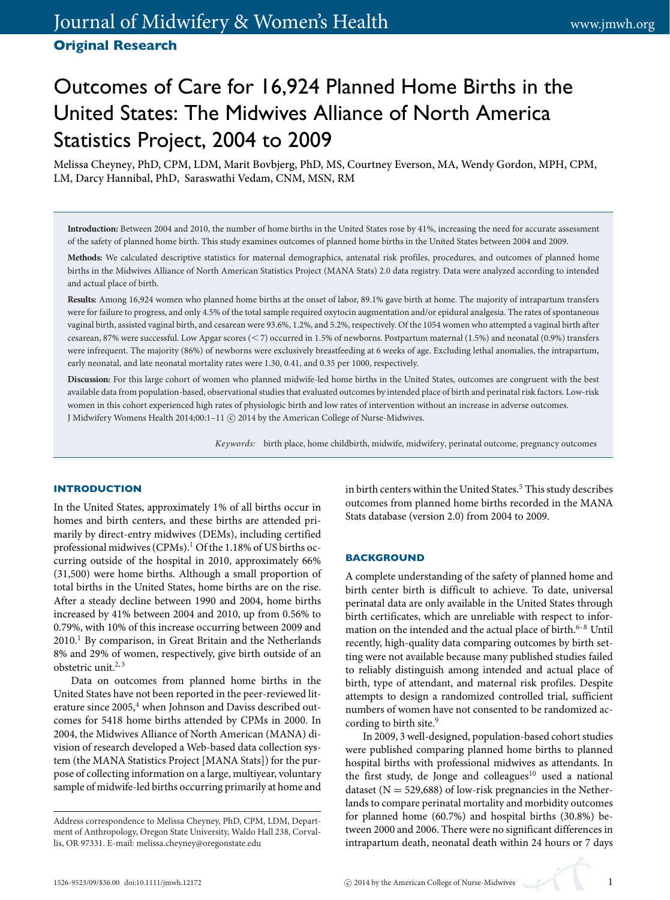## Journal of Midwifery & Women's Health www.jmwh.org

Original Research

## Outcomes of Care for 16,924 Planned Home Births in the United States: The Midwives Alliance of North America Statistics Project, 2004 to 2009

Melissa Cheyney, PhD, CPM, LDM, Marit Bovbjerg, PhD, MS, Courtney Everson, MA, Wendy Gordon, MPH, CPM, LM, Darcy Hannibal, PhD, Saraswathi Vedam, CNM, MSN, RM

**Introduction:** Between 2004 and 2010, the number of home births in the United States rose by 41%, increasing the need for accurate assessment of the safety of planned home birth. This study examines outcomes of planned home births in the United States between 2004 and 2009.

**Methods:** We calculated descriptive statistics for maternal demographics, antenatal risk profiles, procedures, and outcomes of planned home births in the Midwives Alliance of North American Statistics Project (MANA Stats) 2.0 data registry. Data were analyzed according to intended and actual place of birth.

**Results:** Among 16,924 women who planned home births at the onset of labor, 89.1% gave birth at home. The majority of intrapartum transfers were for failure to progress, and only 4.5% of the total sample required oxytocin augmentation and/or epidural analgesia. The rates of spontaneous vaginal birth, assisted vaginal birth, and cesarean were 93.6%, 1.2%, and 5.2%, respectively. Of the 1054 women who attempted a vaginal birth after cesarean, 87% were successful. Low Apgar scores (<7) occurred in 1.5% of newborns. Postpartum maternal (1.5%) and neonatal (0.9%) transfers were infrequent. The majority (86%) of newborns were exclusively breastfeeding at 6 weeks of age. Excluding lethal anomalies, the intrapartum, early neonatal, and late neonatal mortality rates were 1.30, 0.41, and 0.35 per 1000, respectively.

**Discussion:** For this large cohort of women who planned midwife-led home births in the United States, outcomes are congruent with the best available data from population-based, observational studies that evaluated outcomes by intended place of birth and perinatal risk factors. Low-risk women in this cohort experienced high rates of physiologic birth and low rates of intervention without an increase in adverse outcomes. J Midwifery Womens Health 2014;00:1-11  $\odot$  2014 by the American College of Nurse-Midwives.

*Keywords:* birth place, home childbirth, midwife, midwifery, perinatal outcome, pregnancy outcomes

## INTRODUCTION

In the United States, approximately 1% of all births occur in homes and birth centers, and these births are attended primarily by direct-entry midwives (DEMs), including certified professional midwives (CPMs).<sup>1</sup> Of the 1[.1](#page-9-0)8% of US births occurring outside of the hospital in 2010, approximately 66% (31,500) were home births. Although a small proportion of total births in the United States, home births are on the rise. After a steady decline between 1990 and 2004, home births increased by 41% between 2004 and 2010, up from 0.56% to 0.79%, with 10% of this increase occurring between 2009 and 20[1](#page-9-0)0.<sup>1</sup> By comparison, in Great Britain and the Netherlands 8% and 29% of women, respectively, give birth outside of an obstetric unit. $2,3$  $2,3$ 

Data on outcomes from planned home births in the United States have not been reported in the peer-reviewed literature since 2005,<sup>4</sup> when Johnson and Daviss described outcomes for 5418 home births attended by CPMs in 2000. In 2004, the Midwives Alliance of North American (MANA) division of research developed a Web-based data collection system (the MANA Statistics Project [MANA Stats]) for the purpose of collecting information on a large, multiyear, voluntary sample of midwife-led births occurring primarily at home and

in birth centers within the United States.<sup>5</sup> This study describes outcomes from planned home births recorded in the MANA Stats database (version 2.0) from 2004 to 2009.

#### **BACKGROUND**

A complete understanding of the safety of planned home and birth center birth is difficult to achieve. To date, universal perinatal data are only available in the United States through birth certificates, which are unreliable with respect to infor-mation on the intended and the actual place of birth.<sup>[6–](#page-9-5)[8](#page-9-6)</sup> Until recently, high-quality data comparing outcomes by birth setting were not available because many published studies failed to reliably distinguish among intended and actual place of birth, type of attendant, and maternal risk profiles. Despite attempts to design a randomized controlled trial, sufficient numbers of women have not consented to be randomized according to birth site.<sup>9</sup>

In 2009, 3 well-designed, population-based cohort studies were published comparing planned home births to planned hospital births with professional midwives as attendants. In the first study, de Jonge and colleagues<sup>10</sup> used a national dataset ( $N = 529,688$ ) of low-risk pregnancies in the Netherlands to compare perinatal mortality and morbidity outcomes for planned home (60.7%) and hospital births (30.8%) between 2000 and 2006. There were no significant differences in intrapartum death, neonatal death within 24 hours or 7 days

Address correspondence to Melissa Cheyney, PhD, CPM, LDM, Department of Anthropology, Oregon State University, Waldo Hall 238, Corvallis, OR 97331. E-mail: [melissa.cheyney@oregonstate.edu](mailto:melissa.cheyney@oregonstate.edu)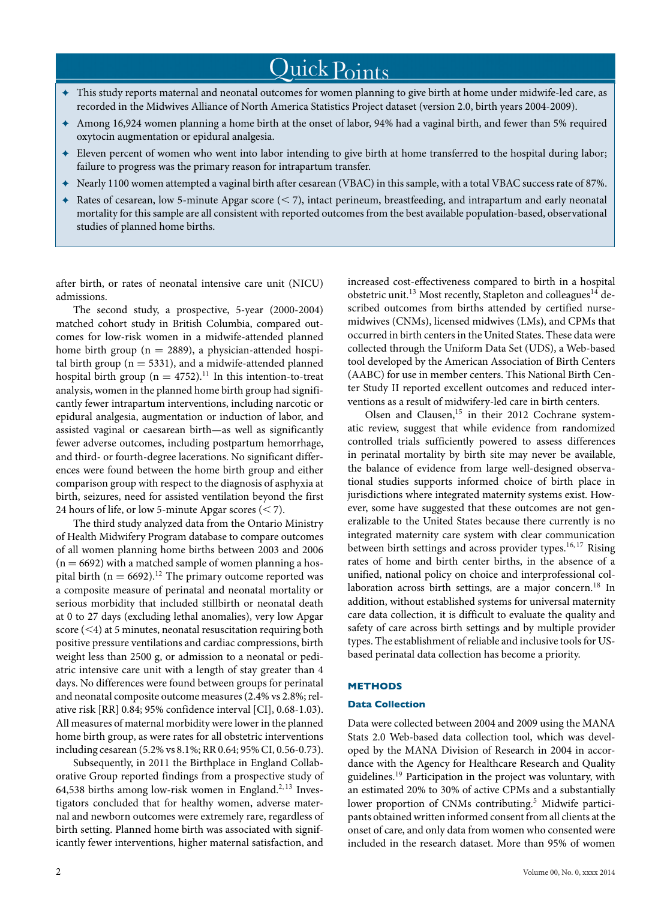# Quick Points

- ✦ This study reports maternal and neonatal outcomes for women planning to give birth at home under midwife-led care, as recorded in the Midwives Alliance of North America Statistics Project dataset (version 2.0, birth years 2004-2009).
- ✦ Among 16,924 women planning a home birth at the onset of labor, 94% had a vaginal birth, and fewer than 5% required oxytocin augmentation or epidural analgesia.
- ✦ Eleven percent of women who went into labor intending to give birth at home transferred to the hospital during labor; failure to progress was the primary reason for intrapartum transfer.
- ✦ Nearly 1100 women attempted a vaginal birth after cesarean (VBAC) in this sample, with a total VBAC success rate of 87%.
- Rates of cesarean, low 5-minute Apgar score  $(< 7$ ), intact perineum, breastfeeding, and intrapartum and early neonatal mortality for this sample are all consistent with reported outcomes from the best available population-based, observational studies of planned home births.

after birth, or rates of neonatal intensive care unit (NICU) admissions.

The second study, a prospective, 5-year (2000-2004) matched cohort study in British Columbia, compared outcomes for low-risk women in a midwife-attended planned home birth group ( $n = 2889$ ), a physician-attended hospital birth group ( $n = 5331$ ), and a midwife-attended planned hospital birth group ( $n = 4752$ ).<sup>11</sup> In this intention-to-treat analysis, women in the planned home birth group had significantly fewer intrapartum interventions, including narcotic or epidural analgesia, augmentation or induction of labor, and assisted vaginal or caesarean birth—as well as significantly fewer adverse outcomes, including postpartum hemorrhage, and third- or fourth-degree lacerations. No significant differences were found between the home birth group and either comparison group with respect to the diagnosis of asphyxia at birth, seizures, need for assisted ventilation beyond the first 24 hours of life, or low 5-minute Apgar scores  $(< 7)$ .

The third study analyzed data from the Ontario Ministry of Health Midwifery Program database to compare outcomes of all women planning home births between 2003 and 2006  $(n = 6692)$  with a matched sample of women planning a hospital birth ( $n = 6692$ ).<sup>[12](#page-10-3)</sup> The primary outcome reported was a composite measure of perinatal and neonatal mortality or serious morbidity that included stillbirth or neonatal death at 0 to 27 days (excluding lethal anomalies), very low Apgar score  $(<$ 4) at 5 minutes, neonatal resuscitation requiring both positive pressure ventilations and cardiac compressions, birth weight less than 2500 g, or admission to a neonatal or pediatric intensive care unit with a length of stay greater than 4 days. No differences were found between groups for perinatal and neonatal composite outcome measures (2.4% vs 2.8%; relative risk [RR] 0.84; 95% confidence interval [CI], 0.68-1.03). All measures of maternal morbidity were lower in the planned home birth group, as were rates for all obstetric interventions including cesarean (5.2% vs 8.1%; RR 0.64; 95% CI, 0.56-0.73).

Subsequently, in 2011 the Birthplace in England Collaborative Group reported findings from a prospective study of 64,538 births among low-risk women in England. $2,13$  $2,13$  Investigators concluded that for healthy women, adverse maternal and newborn outcomes were extremely rare, regardless of birth setting. Planned home birth was associated with significantly fewer interventions, higher maternal satisfaction, and

increased cost-effectiveness compared to birth in a hospital obstetric unit.<sup>13</sup> Most recently, Stapleton and colleagues<sup>14</sup> described outcomes from births attended by certified nursemidwives (CNMs), licensed midwives (LMs), and CPMs that occurred in birth centers in the United States. These data were collected through the Uniform Data Set (UDS), a Web-based tool developed by the American Association of Birth Centers (AABC) for use in member centers. This National Birth Center Study II reported excellent outcomes and reduced interventions as a result of midwifery-led care in birth centers.

Olsen and Clausen,<sup>15</sup> in their 2012 Cochrane systematic review, suggest that while evidence from randomized controlled trials sufficiently powered to assess differences in perinatal mortality by birth site may never be available, the balance of evidence from large well-designed observational studies supports informed choice of birth place in jurisdictions where integrated maternity systems exist. However, some have suggested that these outcomes are not generalizable to the United States because there currently is no integrated maternity care system with clear communication between birth settings and across provider types.<sup>16, [17](#page-10-8)</sup> Rising rates of home and birth center births, in the absence of a unified, national policy on choice and interprofessional collaboration across birth settings, are a major concern.<sup>18</sup> In addition, without established systems for universal maternity care data collection, it is difficult to evaluate the quality and safety of care across birth settings and by multiple provider types. The establishment of reliable and inclusive tools for USbased perinatal data collection has become a priority.

## **METHODS**

#### Data Collection

Data were collected between 2004 and 2009 using the MANA Stats 2.0 Web-based data collection tool, which was developed by the MANA Division of Research in 2004 in accordance with the Agency for Healthcare Research and Quality guidelines.[19](#page-10-10) Participation in the project was voluntary, with an estimated 20% to 30% of active CPMs and a substantially lower proportion of CNMs contributing.<sup>5</sup> Midwife participants obtained written informed consent from all clients at the onset of care, and only data from women who consented were included in the research dataset. More than 95% of women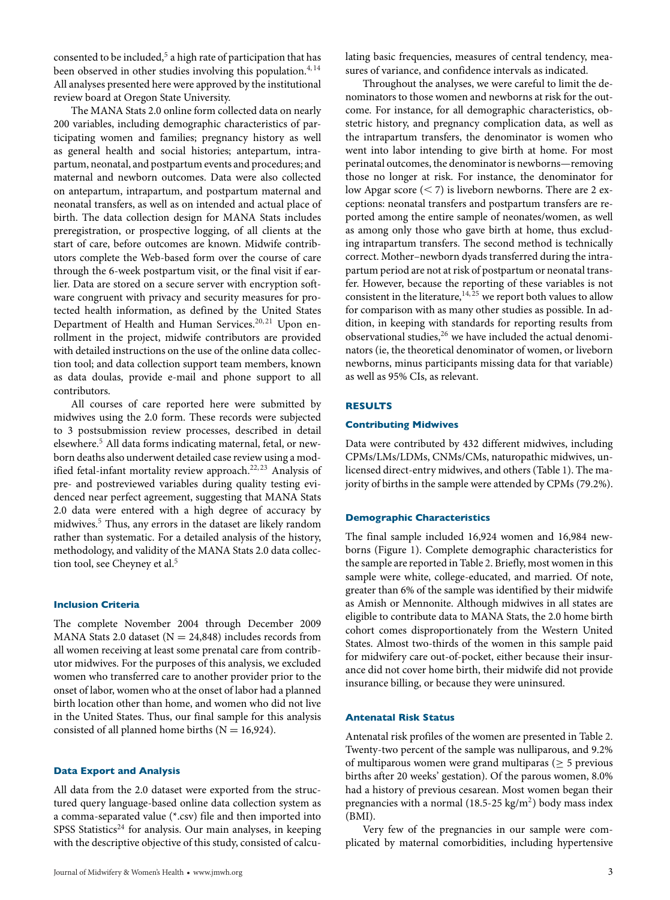consented to be included, $5$  a high rate of participation that has been observed in other studies involving this population.<sup>4,[14](#page-10-5)</sup> All analyses presented here were approved by the institutional review board at Oregon State University.

The MANA Stats 2.0 online form collected data on nearly 200 variables, including demographic characteristics of participating women and families; pregnancy history as well as general health and social histories; antepartum, intrapartum, neonatal, and postpartum events and procedures; and maternal and newborn outcomes. Data were also collected on antepartum, intrapartum, and postpartum maternal and neonatal transfers, as well as on intended and actual place of birth. The data collection design for MANA Stats includes preregistration, or prospective logging, of all clients at the start of care, before outcomes are known. Midwife contributors complete the Web-based form over the course of care through the 6-week postpartum visit, or the final visit if earlier. Data are stored on a secure server with encryption software congruent with privacy and security measures for protected health information, as defined by the United States Department of Health and Human Services.<sup>[20,](#page-10-11) [21](#page-10-12)</sup> Upon enrollment in the project, midwife contributors are provided with detailed instructions on the use of the online data collection tool; and data collection support team members, known as data doulas, provide e-mail and phone support to all contributors.

All courses of care reported here were submitted by midwives using the 2.0 form. These records were subjected to 3 postsubmission review processes, described in detail elsewhere.[5](#page-9-4) All data forms indicating maternal, fetal, or newborn deaths also underwent detailed case review using a mod-ified fetal-infant mortality review approach.<sup>[22,](#page-10-13)[23](#page-10-14)</sup> Analysis of pre- and postreviewed variables during quality testing evidenced near perfect agreement, suggesting that MANA Stats 2.0 data were entered with a high degree of accuracy by midwives.[5](#page-9-4) Thus, any errors in the dataset are likely random rather than systematic. For a detailed analysis of the history, methodology, and validity of the MANA Stats 2.0 data collec-tion tool, see Cheyney et al.<sup>[5](#page-9-4)</sup>

#### Inclusion Criteria

The complete November 2004 through December 2009 MANA Stats 2.0 dataset ( $N = 24,848$ ) includes records from all women receiving at least some prenatal care from contributor midwives. For the purposes of this analysis, we excluded women who transferred care to another provider prior to the onset of labor, women who at the onset of labor had a planned birth location other than home, and women who did not live in the United States. Thus, our final sample for this analysis consisted of all planned home births ( $N = 16,924$ ).

## Data Export and Analysis

All data from the 2.0 dataset were exported from the structured query language-based online data collection system as a comma-separated value (\*.csv) file and then imported into SPSS Statistics $24$  for analysis. Our main analyses, in keeping with the descriptive objective of this study, consisted of calculating basic frequencies, measures of central tendency, measures of variance, and confidence intervals as indicated.

Throughout the analyses, we were careful to limit the denominators to those women and newborns at risk for the outcome. For instance, for all demographic characteristics, obstetric history, and pregnancy complication data, as well as the intrapartum transfers, the denominator is women who went into labor intending to give birth at home. For most perinatal outcomes, the denominator is newborns—removing those no longer at risk. For instance, the denominator for low Apgar score  $(< 7)$  is liveborn newborns. There are 2 exceptions: neonatal transfers and postpartum transfers are reported among the entire sample of neonates/women, as well as among only those who gave birth at home, thus excluding intrapartum transfers. The second method is technically correct. Mother–newborn dyads transferred during the intrapartum period are not at risk of postpartum or neonatal transfer. However, because the reporting of these variables is not consistent in the literature,  $14, 25$  $14, 25$  we report both values to allow for comparison with as many other studies as possible. In addition, in keeping with standards for reporting results from observational studies, $26$  we have included the actual denominators (ie, the theoretical denominator of women, or liveborn newborns, minus participants missing data for that variable) as well as 95% CIs, as relevant.

### RESULTS

#### Contributing Midwives

Data were contributed by 432 different midwives, including CPMs/LMs/LDMs, CNMs/CMs, naturopathic midwives, unlicensed direct-entry midwives, and others (Table [1\)](#page-3-0). The majority of births in the sample were attended by CPMs (79.2%).

#### Demographic Characteristics

The final sample included 16,924 women and 16,984 newborns (Figure [1\)](#page-3-1). Complete demographic characteristics for the sample are reported in Table [2.](#page-4-0) Briefly, most women in this sample were white, college-educated, and married. Of note, greater than 6% of the sample was identified by their midwife as Amish or Mennonite. Although midwives in all states are eligible to contribute data to MANA Stats, the 2.0 home birth cohort comes disproportionately from the Western United States. Almost two-thirds of the women in this sample paid for midwifery care out-of-pocket, either because their insurance did not cover home birth, their midwife did not provide insurance billing, or because they were uninsured.

#### Antenatal Risk Status

Antenatal risk profiles of the women are presented in Table [2.](#page-4-0) Twenty-two percent of the sample was nulliparous, and 9.2% of multiparous women were grand multiparas ( $\geq$  5 previous births after 20 weeks' gestation). Of the parous women, 8.0% had a history of previous cesarean. Most women began their pregnancies with a normal (18.5-25 kg/m<sup>2</sup>) body mass index (BMI).

Very few of the pregnancies in our sample were complicated by maternal comorbidities, including hypertensive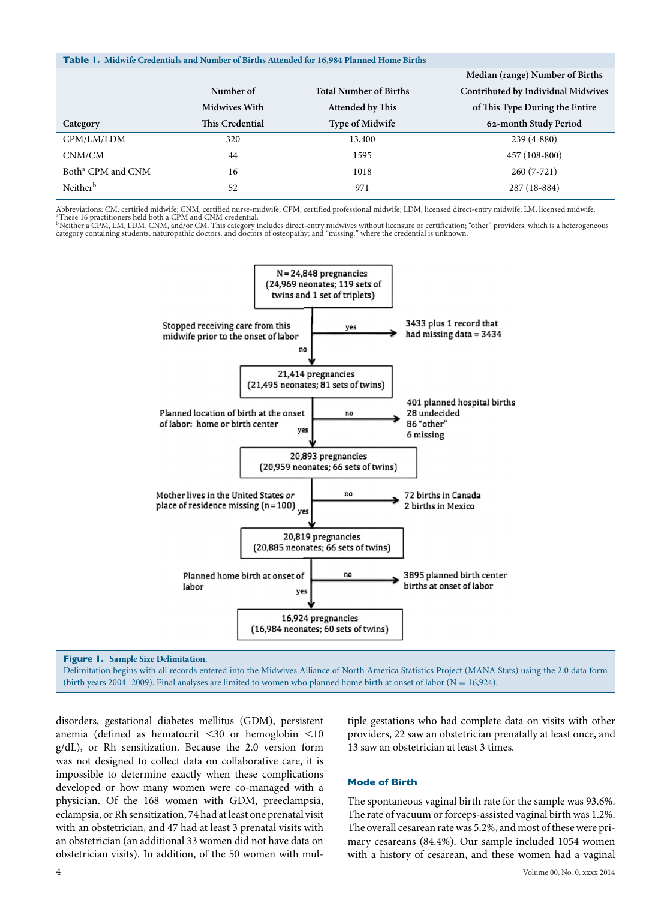### <span id="page-3-0"></span>Table 1. **Midwife Credentials and Number of Births Attended for 16,984 Planned Home Births**

|                               |                      |                               | Median (range) Number of Births    |
|-------------------------------|----------------------|-------------------------------|------------------------------------|
|                               | Number of            | <b>Total Number of Births</b> | Contributed by Individual Midwives |
|                               | <b>Midwives With</b> | Attended by This              | of This Type During the Entire     |
| Category                      | This Credential      | <b>Type of Midwife</b>        | 62-month Study Period              |
| CPM/LM/LDM                    | 320                  | 13,400                        | 239 (4-880)                        |
| CNM/CM                        | 44                   | 1595                          | 457 (108-800)                      |
| Both <sup>a</sup> CPM and CNM | 16                   | 1018                          | $260(7-721)$                       |
| Neither <sup>b</sup>          | 52                   | 971                           | 287 (18-884)                       |

Abbreviations: CM, certified midwife; CNM, certified nurse-midwife; CPM, certified professional midwife; LDM, licensed direct-entry midwife; LM, licensed midwife. aThese 16 practitioners held both a CPM and CNM credential.

<span id="page-3-3"></span><span id="page-3-2"></span>bNeither a^CPM, LM, LDM, CNM, and/or CM. This category includes direct-entry midwives without licensure or certification; "other" providers, which is a heterogeneous<br>category containing students, naturopathic doctors, and



<span id="page-3-1"></span>disorders, gestational diabetes mellitus (GDM), persistent anemia (defined as hematocrit  $\leq 30$  or hemoglobin  $\leq 10$ g/dL), or Rh sensitization. Because the 2.0 version form was not designed to collect data on collaborative care, it is impossible to determine exactly when these complications developed or how many women were co-managed with a physician. Of the 168 women with GDM, preeclampsia, eclampsia, or Rh sensitization, 74 had at least one prenatal visit with an obstetrician, and 47 had at least 3 prenatal visits with an obstetrician (an additional 33 women did not have data on obstetrician visits). In addition, of the 50 women with multiple gestations who had complete data on visits with other providers, 22 saw an obstetrician prenatally at least once, and 13 saw an obstetrician at least 3 times.

#### Mode of Birth

The spontaneous vaginal birth rate for the sample was 93.6%. The rate of vacuum or forceps-assisted vaginal birth was 1.2%. The overall cesarean rate was 5.2%, and most of these were primary cesareans (84.4%). Our sample included 1054 women with a history of cesarean, and these women had a vaginal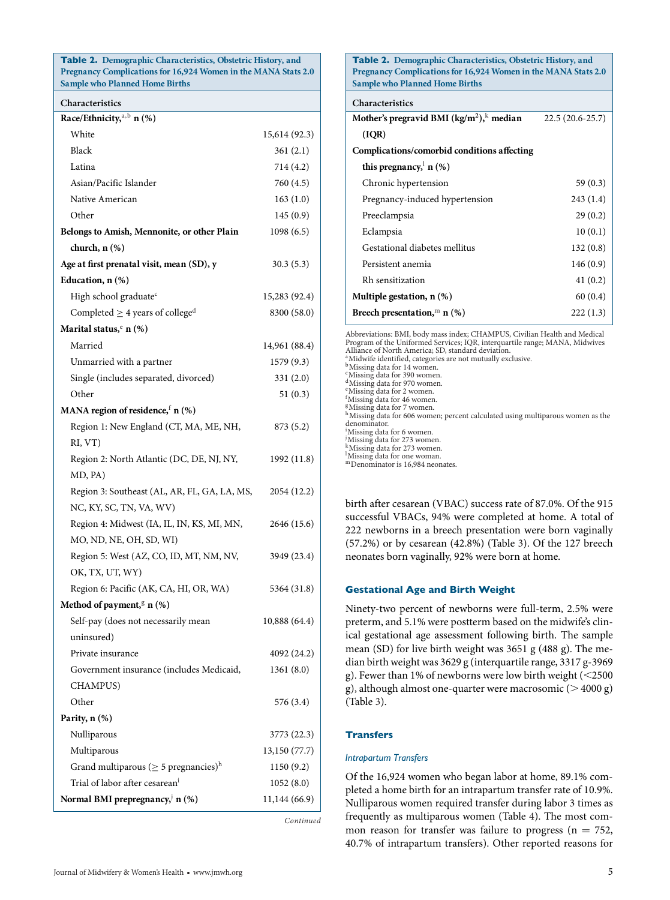<span id="page-4-0"></span>Table 2. **Demographic Characteristics, Obstetric History, and Pregnancy Complications for 16,924 Women in the MANA Stats 2.0 Sample who Planned Home Births**

## **Characteristics**

| Race/Ethnicity, <sup>a,b</sup> n (%)                   |               |
|--------------------------------------------------------|---------------|
| White                                                  | 15,614 (92.3) |
| Black                                                  | 361(2.1)      |
| Latina                                                 | 714 (4.2)     |
| Asian/Pacific Islander                                 | 760 (4.5)     |
| Native American                                        | 163(1.0)      |
| Other                                                  | 145(0.9)      |
| Belongs to Amish, Mennonite, or other Plain            | 1098(6.5)     |
| church, $n$ $(\%)$                                     |               |
| Age at first prenatal visit, mean (SD), y              | 30.3 (5.3)    |
| Education, $n$ $(\%)$                                  |               |
| High school graduate <sup>c</sup>                      | 15,283 (92.4) |
| Completed $\geq$ 4 years of college <sup>d</sup>       | 8300 (58.0)   |
| Marital status, $e$ n (%)                              |               |
| Married                                                | 14,961 (88.4) |
| Unmarried with a partner                               | 1579(9.3)     |
| Single (includes separated, divorced)                  | 331(2.0)      |
| Other                                                  | 51(0.3)       |
| MANA region of residence, $(n \%)$                     |               |
| Region 1: New England (CT, MA, ME, NH,                 | 873 (5.2)     |
| RI, VT)                                                |               |
| Region 2: North Atlantic (DC, DE, NJ, NY,              | 1992 (11.8)   |
| MD, PA)                                                |               |
| Region 3: Southeast (AL, AR, FL, GA, LA, MS,           | 2054 (12.2)   |
| NC, KY, SC, TN, VA, WV)                                |               |
| Region 4: Midwest (IA, IL, IN, KS, MI, MN,             | 2646 (15.6)   |
| MO, ND, NE, OH, SD, WI)                                |               |
| Region 5: West (AZ, CO, ID, MT, NM, NV,                | 3949 (23.4)   |
| OK, TX, UT, WY)                                        |               |
| Region 6: Pacific (AK, CA, HI, OR, WA)                 | 5364 (31.8)   |
| Method of payment, <sup>8</sup> n (%)                  |               |
| Self-pay (does not necessarily mean                    | 10,888 (64.4) |
| uninsured)                                             |               |
| Private insurance                                      | 4092 (24.2)   |
| Government insurance (includes Medicaid,               | 1361(8.0)     |
| CHAMPUS)                                               |               |
| Other                                                  | 576 (3.4)     |
| Parity, n (%)                                          |               |
| Nulliparous                                            | 3773 (22.3)   |
| Multiparous                                            | 13,150 (77.7) |
| Grand multiparous ( $\geq$ 5 pregnancies) <sup>h</sup> | 1150 (9.2)    |
| Trial of labor after cesarean <sup>i</sup>             | 1052(8.0)     |
| Normal BMI prepregnancy, <sup>j</sup> n (%)            | 11,144 (66.9) |
|                                                        | Continued     |

**Transfers** 

#### *Intrapartum Transfers*

Of the 16,924 women who began labor at home, 89.1% completed a home birth for an intrapartum transfer rate of 10.9%. Nulliparous women required transfer during labor 3 times as frequently as multiparous women (Table [4\)](#page-5-1). The most common reason for transfer was failure to progress ( $n = 752$ , 40.7% of intrapartum transfers). Other reported reasons for

| <b>Table 2.</b> Demographic Characteristics, Obstetric History, and |                   |
|---------------------------------------------------------------------|-------------------|
| Pregnancy Complications for 16,924 Women in the MANA Stats 2.0      |                   |
| <b>Sample who Planned Home Births</b>                               |                   |
| Characteristics                                                     |                   |
| Mother's pregravid BMI ( $kg/m2$ ), <sup>k</sup> median             | $22.5(20.6-25.7)$ |
| (IOR)                                                               |                   |
| Complications/comorbid conditions affecting                         |                   |
| this pregnancy, n $(\%)$                                            |                   |
| Chronic hypertension                                                | 59(0.3)           |
| Pregnancy-induced hypertension                                      | 243 (1.4)         |
| Preeclampsia                                                        | 29(0.2)           |
| Eclampsia                                                           | 10(0.1)           |
| Gestational diabetes mellitus                                       | 132(0.8)          |
| Persistent anemia                                                   | 146 (0.9)         |
| Rh sensitization                                                    | 41(0.2)           |
| Multiple gestation, $n$ $(\%)$                                      | 60(0.4)           |
| Breech presentation, <sup>m</sup> n $(\%)$                          | 222(1.3)          |

<span id="page-4-8"></span><span id="page-4-7"></span><span id="page-4-6"></span><span id="page-4-5"></span><span id="page-4-4"></span><span id="page-4-3"></span><span id="page-4-2"></span><span id="page-4-1"></span>Abbreviations: BMI, body mass index; CHAMPUS, Civilian Health and Medical Program of the Uniformed Services; IQR, interquartile range; MANA, Midwives Alliance of North America; SD, standard deviation. <sup>a</sup>Midwife identified, categories are not mutually exclusive. <sup>b</sup>Missing data for 14 women.<br><sup>c</sup>Missing data for 390 women. dMissing data for 970 women. <sup>e</sup>Missing data for 2 women.<br><sup>f</sup>Missing data for 46 women. gMissing data for 7 women. hMissing data for 606 women; percent calculated using multiparous women as the denominator. i Missing data for 6 women. j Missing data for 273 women. kMissing data for 273 women. l Missing data for one woman. mDenominator is 16,984 neonates.

<span id="page-4-13"></span><span id="page-4-12"></span><span id="page-4-11"></span><span id="page-4-10"></span><span id="page-4-9"></span>birth after cesarean (VBAC) success rate of 87.0%. Of the 915 successful VBACs, 94% were completed at home. A total of 222 newborns in a breech presentation were born vaginally (57.2%) or by cesarean (42.8%) (Table [3\)](#page-5-0). Of the 127 breech neonates born vaginally, 92% were born at home.

#### Gestational Age and Birth Weight

Ninety-two percent of newborns were full-term, 2.5% were preterm, and 5.1% were postterm based on the midwife's clinical gestational age assessment following birth. The sample mean (SD) for live birth weight was 3651 g (488 g). The median birth weight was 3629 g (interquartile range, 3317 g-3969 g). Fewer than 1% of newborns were low birth weight  $(<2500$ g), although almost one-quarter were macrosomic ( $>$  4000 g) (Table [3\)](#page-5-0).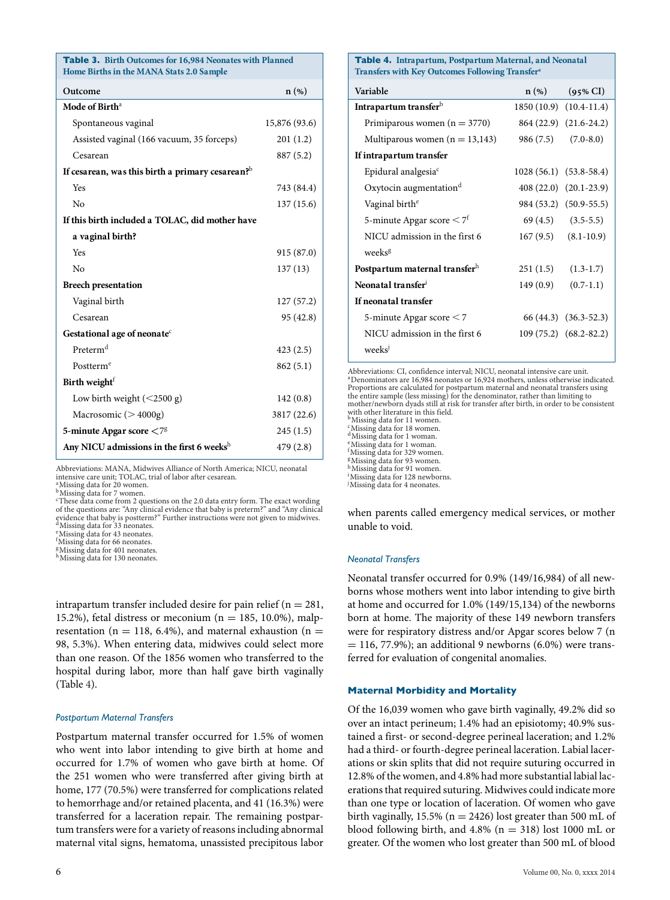<span id="page-5-0"></span>Table 3. **Birth Outcomes for 16,984 Neonates with Planned Home Births in the MANA Stats 2.0 Sample**

| Outcome                                         | $n(\%)$       |
|-------------------------------------------------|---------------|
| Mode of Birth <sup>a</sup>                      |               |
| Spontaneous vaginal                             | 15,876 (93.6) |
| Assisted vaginal (166 vacuum, 35 forceps)       | 201(1.2)      |
| Cesarean                                        | 887 (5.2)     |
| If cesarean, was this birth a primary cesarean? |               |
| Yes                                             | 743 (84.4)    |
| No                                              | 137 (15.6)    |
| If this birth included a TOLAC, did mother have |               |
| a vaginal birth?                                |               |
| Yes                                             | 915 (87.0)    |
| $\rm N_{0}$                                     | 137(13)       |
| <b>Breech presentation</b>                      |               |
| Vaginal birth                                   | 127(57.2)     |
| Cesarean                                        | 95(42.8)      |
| Gestational age of neonate <sup>c</sup>         |               |
| Preterm <sup>d</sup>                            | 423(2.5)      |
| Postterm <sup>e</sup>                           | 862(5.1)      |
| Birth weight <sup>f</sup>                       |               |
| Low birth weight $(<2500 g)$                    | 142(0.8)      |
| Macrosomic $(>4000g)$                           | 3817 (22.6)   |
| 5-minute Apgar score $\langle 7^g \rangle$      | 245(1.5)      |
| Any NICU admissions in the first 6 weeksh       | 479 (2.8)     |

Abbreviations: MANA, Midwives Alliance of North America; NICU, neonatal intensive care unit; TOLAC, trial of labor after cesarean. <sup>a</sup>Missing data for 20 women.

<span id="page-5-2"></span>

<span id="page-5-4"></span><span id="page-5-3"></span>bMissing data for 7 women. cThese data come from 2 questions on the 2.0 data entry form. The exact wording of the questions are: "Any clinical evidence that baby is preterm?" and "Any clinical evidence that baby is postterm?" Further instructions were not given to midwives.<br><sup>d</sup>Missing data for 33 neonates.

<span id="page-5-5"></span>

<span id="page-5-6"></span><sup>e</sup>Missing data for 43 neonates.

<span id="page-5-7"></span>f Missing data for 66 neonates.

<span id="page-5-8"></span><sup>g</sup>Missing data for 401 neonates.

<span id="page-5-9"></span>h Missing data for 130 neonates.

intrapartum transfer included desire for pain relief ( $n = 281$ , 15.2%), fetal distress or meconium ( $n = 185$ , 10.0%), malpresentation ( $n = 118$ , 6.4%), and maternal exhaustion ( $n =$ 98, 5.3%). When entering data, midwives could select more than one reason. Of the 1856 women who transferred to the hospital during labor, more than half gave birth vaginally (Table [4\)](#page-5-1).

#### *Postpartum Maternal Transfers*

Postpartum maternal transfer occurred for 1.5% of women who went into labor intending to give birth at home and occurred for 1.7% of women who gave birth at home. Of the 251 women who were transferred after giving birth at home, 177 (70.5%) were transferred for complications related to hemorrhage and/or retained placenta, and 41 (16.3%) were transferred for a laceration repair. The remaining postpartum transfers were for a variety of reasons including abnormal maternal vital signs, hematoma, unassisted precipitous labor

<span id="page-5-1"></span>Table 4. **Intrapartum, Postpartum Maternal, and Neonatal Transfers with Key Outcomes Following Transfe[ra](#page-5-10)**

| Variable                           | $n (\%)$                | $(95\% \text{ CI})$        |
|------------------------------------|-------------------------|----------------------------|
| Intrapartum transfer <sup>b</sup>  | 1850 (10.9) (10.4-11.4) |                            |
| Primiparous women $(n = 3770)$     |                         | 864 (22.9) (21.6-24.2)     |
| Multiparous women $(n = 13,143)$   | 986 (7.5)               | $(7.0 - 8.0)$              |
| If intrapartum transfer            |                         |                            |
| Epidural analgesia <sup>c</sup>    |                         | $1028(56.1)$ $(53.8-58.4)$ |
| Oxytocin augmentation <sup>d</sup> |                         | 408 (22.0) (20.1-23.9)     |
| Vaginal birth <sup>e</sup>         |                         | 984 (53.2) (50.9-55.5)     |
| 5-minute Apgar score $\leq 7^f$    | 69 (4.5)                | $(3.5 - 5.5)$              |
| NICU admission in the first 6      | 167(9.5)                | $(8.1 - 10.9)$             |
| weeksg                             |                         |                            |
| Postpartum maternal transferh      | 251(1.5)                | $(1.3-1.7)$                |
| Neonatal transfer <sup>1</sup>     | 149(0.9)                | $(0.7-1.1)$                |
| If neonatal transfer               |                         |                            |
| 5-minute Apgar score $\leq 7$      |                         | $66(44.3)$ $(36.3-52.3)$   |
| NICU admission in the first 6      |                         | 109 (75.2) (68.2-82.2)     |
| weeks                              |                         |                            |

<span id="page-5-10"></span>Abbreviations: CI, confidence interval; NICU, neonatal intensive care unit. aDenominators are 16,984 neonates or 16,924 mothers, unless otherwise indicated. Proportions are calculated for postpartum maternal and neonatal transfers using the entire sample (less missing) for the denominator, rather than limiting to mother/newborn dyads still at risk for transfer after birth, in order to be consistent with other literature in this field. bMissing data for 11 women. cMissing data for 18 women. dMissing data for 1 woman.

<span id="page-5-13"></span><span id="page-5-12"></span><span id="page-5-11"></span>

<span id="page-5-14"></span><sup>e</sup>Missing data for 1 woman.<br><sup>f</sup>Missing data for 329 women.

<span id="page-5-16"></span><span id="page-5-15"></span>gMissing data for 93 women.

<span id="page-5-17"></span><sup>h</sup>Missing data for 91 women.<br><sup>i</sup>Missing data for 128 newborns.

<span id="page-5-19"></span><span id="page-5-18"></span>j Missing data for 4 neonates.

when parents called emergency medical services, or mother unable to void.

#### *Neonatal Transfers*

Neonatal transfer occurred for 0.9% (149/16,984) of all newborns whose mothers went into labor intending to give birth at home and occurred for 1.0% (149/15,134) of the newborns born at home. The majority of these 149 newborn transfers were for respiratory distress and/or Apgar scores below 7 (n  $= 116, 77.9\%$ ; an additional 9 newborns (6.0%) were transferred for evaluation of congenital anomalies.

## Maternal Morbidity and Mortality

Of the 16,039 women who gave birth vaginally, 49.2% did so over an intact perineum; 1.4% had an episiotomy; 40.9% sustained a first- or second-degree perineal laceration; and 1.2% had a third- or fourth-degree perineal laceration. Labial lacerations or skin splits that did not require suturing occurred in 12.8% of the women, and 4.8% had more substantial labial lacerations that required suturing. Midwives could indicate more than one type or location of laceration. Of women who gave birth vaginally, 15.5% ( $n = 2426$ ) lost greater than 500 mL of blood following birth, and  $4.8\%$  (n = 318) lost 1000 mL or greater. Of the women who lost greater than 500 mL of blood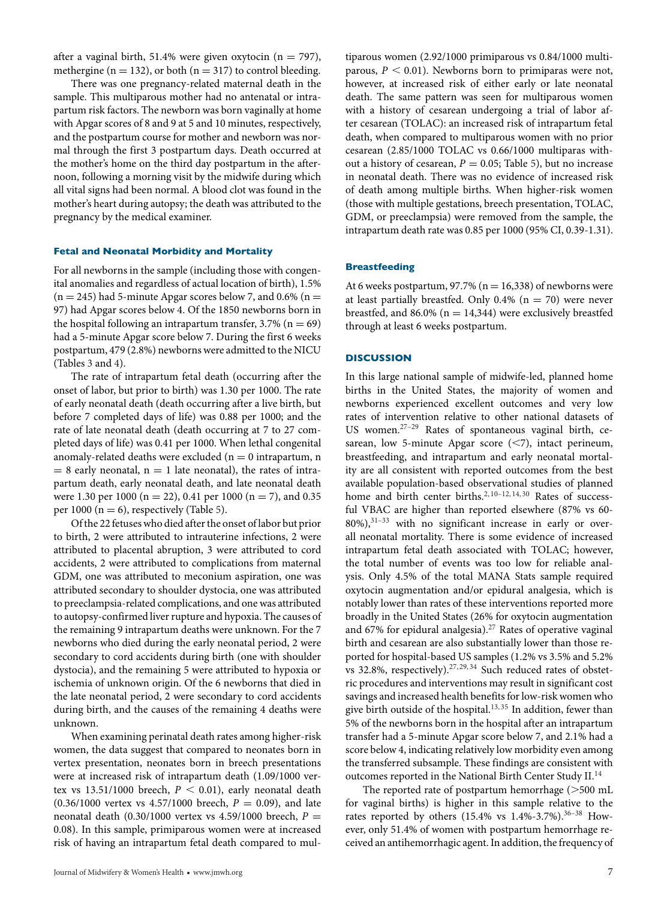after a vaginal birth, 51.4% were given oxytocin ( $n = 797$ ), methergine ( $n = 132$ ), or both ( $n = 317$ ) to control bleeding.

There was one pregnancy-related maternal death in the sample. This multiparous mother had no antenatal or intrapartum risk factors. The newborn was born vaginally at home with Apgar scores of 8 and 9 at 5 and 10 minutes, respectively, and the postpartum course for mother and newborn was normal through the first 3 postpartum days. Death occurred at the mother's home on the third day postpartum in the afternoon, following a morning visit by the midwife during which all vital signs had been normal. A blood clot was found in the mother's heart during autopsy; the death was attributed to the pregnancy by the medical examiner.

#### Fetal and Neonatal Morbidity and Mortality

For all newborns in the sample (including those with congenital anomalies and regardless of actual location of birth), 1.5%  $(n = 245)$  had 5-minute Apgar scores below 7, and 0.6%  $(n = 100)$ 97) had Apgar scores below 4. Of the 1850 newborns born in the hospital following an intrapartum transfer,  $3.7\%$  (n = 69) had a 5-minute Apgar score below 7. During the first 6 weeks postpartum, 479 (2.8%) newborns were admitted to the NICU (Tables [3](#page-5-0) and [4\)](#page-5-1).

The rate of intrapartum fetal death (occurring after the onset of labor, but prior to birth) was 1.30 per 1000. The rate of early neonatal death (death occurring after a live birth, but before 7 completed days of life) was 0.88 per 1000; and the rate of late neonatal death (death occurring at 7 to 27 completed days of life) was 0.41 per 1000. When lethal congenital anomaly-related deaths were excluded ( $n = 0$  intrapartum, n  $= 8$  early neonatal,  $n = 1$  late neonatal), the rates of intrapartum death, early neonatal death, and late neonatal death were 1.30 per 1000 (n = 22), 0.41 per 1000 (n = 7), and 0.35 per 1000 ( $n = 6$ ), respectively (Table [5\)](#page-7-0).

Of the 22 fetuses who died after the onset of labor but prior to birth, 2 were attributed to intrauterine infections, 2 were attributed to placental abruption, 3 were attributed to cord accidents, 2 were attributed to complications from maternal GDM, one was attributed to meconium aspiration, one was attributed secondary to shoulder dystocia, one was attributed to preeclampsia-related complications, and one was attributed to autopsy-confirmed liver rupture and hypoxia. The causes of the remaining 9 intrapartum deaths were unknown. For the 7 newborns who died during the early neonatal period, 2 were secondary to cord accidents during birth (one with shoulder dystocia), and the remaining 5 were attributed to hypoxia or ischemia of unknown origin. Of the 6 newborns that died in the late neonatal period, 2 were secondary to cord accidents during birth, and the causes of the remaining 4 deaths were unknown.

When examining perinatal death rates among higher-risk women, the data suggest that compared to neonates born in vertex presentation, neonates born in breech presentations were at increased risk of intrapartum death (1.09/1000 vertex vs 13.51/1000 breech,  $P < 0.01$ ), early neonatal death  $(0.36/1000 \text{ vertex vs } 4.57/1000 \text{ breed}, P = 0.09)$ , and late neonatal death (0.30/1000 vertex vs 4.59/1000 breech, *P* = 0.08). In this sample, primiparous women were at increased risk of having an intrapartum fetal death compared to multiparous women (2.92/1000 primiparous vs 0.84/1000 multiparous,  $P < 0.01$ ). Newborns born to primiparas were not, however, at increased risk of either early or late neonatal death. The same pattern was seen for multiparous women with a history of cesarean undergoing a trial of labor after cesarean (TOLAC): an increased risk of intrapartum fetal death, when compared to multiparous women with no prior cesarean (2.85/1000 TOLAC vs 0.66/1000 multiparas without a history of cesarean,  $P = 0.05$ ; Table [5\)](#page-7-0), but no increase in neonatal death. There was no evidence of increased risk of death among multiple births. When higher-risk women (those with multiple gestations, breech presentation, TOLAC, GDM, or preeclampsia) were removed from the sample, the intrapartum death rate was 0.85 per 1000 (95% CI, 0.39-1.31).

### **Breastfeeding**

At 6 weeks postpartum, 97.7% ( $n = 16,338$ ) of newborns were at least partially breastfed. Only  $0.4\%$  (n = 70) were never breastfed, and 86.0% ( $n = 14,344$ ) were exclusively breastfed through at least 6 weeks postpartum.

## **DISCUSSION**

In this large national sample of midwife-led, planned home births in the United States, the majority of women and newborns experienced excellent outcomes and very low rates of intervention relative to other national datasets of US women.<sup>27-29</sup> Rates of spontaneous vaginal birth, cesarean, low 5-minute Apgar score  $(< 7)$ , intact perineum, breastfeeding, and intrapartum and early neonatal mortality are all consistent with reported outcomes from the best available population-based observational studies of planned home and birth center births.<sup>[2,](#page-9-1) 10-[12,](#page-10-3) [14,](#page-10-5) [30](#page-10-20)</sup> Rates of successful VBAC are higher than reported elsewhere (87% vs 60-  $80\%)$ ,  $31-33$  $31-33$  with no significant increase in early or overall neonatal mortality. There is some evidence of increased intrapartum fetal death associated with TOLAC; however, the total number of events was too low for reliable analysis. Only 4.5% of the total MANA Stats sample required oxytocin augmentation and/or epidural analgesia, which is notably lower than rates of these interventions reported more broadly in the United States (26% for oxytocin augmentation and 67% for epidural analgesia). $27$  Rates of operative vaginal birth and cesarean are also substantially lower than those reported for hospital-based US samples (1.2% vs 3.5% and 5.2% vs 32.8%, respectively).<sup>[27,](#page-10-18) [29,](#page-10-19) [34](#page-10-23)</sup> Such reduced rates of obstetric procedures and interventions may result in significant cost savings and increased health benefits for low-risk women who give birth outside of the hospital.<sup>13,[35](#page-10-24)</sup> In addition, fewer than 5% of the newborns born in the hospital after an intrapartum transfer had a 5-minute Apgar score below 7, and 2.1% had a score below 4, indicating relatively low morbidity even among the transferred subsample. These findings are consistent with outcomes reported in the National Birth Center Study II.<sup>[14](#page-10-5)</sup>

The reported rate of postpartum hemorrhage (>500 mL for vaginal births) is higher in this sample relative to the rates reported by others (15.4% vs  $1.4\%$ -3.7%).<sup>[36](#page-10-25)-38</sup> However, only 51.4% of women with postpartum hemorrhage received an antihemorrhagic agent. In addition, the frequency of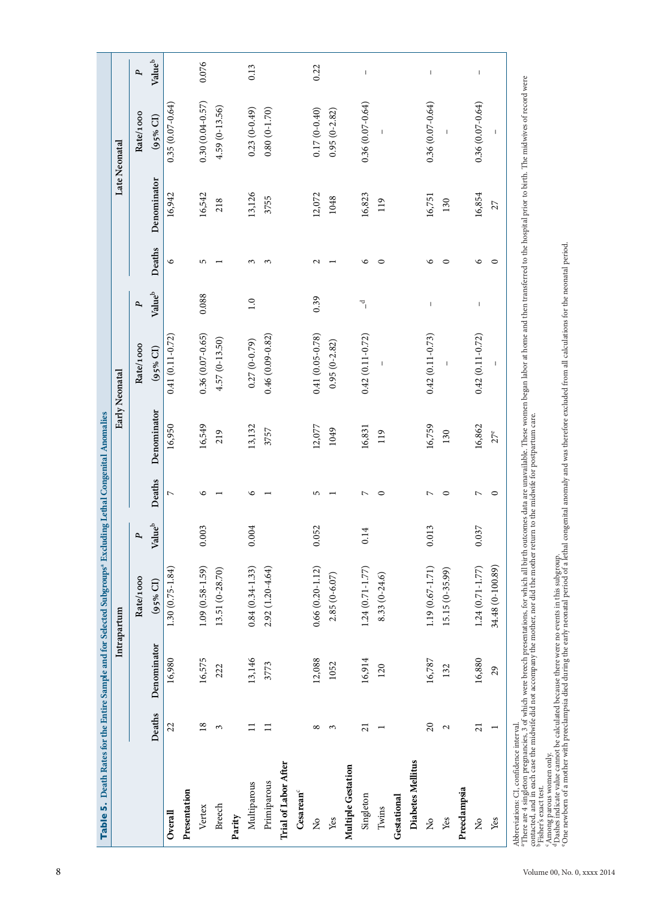|                                         |                 |                                                       | Intrapartum         |                         |                |             | Early Neonatal      |                                                                                                                                                                                                                                                                                                                                                                                  |             |             | Late Neonatal                                                                                                  |                                                                                                                                                                                                                                                                                                                                                                                  |
|-----------------------------------------|-----------------|-------------------------------------------------------|---------------------|-------------------------|----------------|-------------|---------------------|----------------------------------------------------------------------------------------------------------------------------------------------------------------------------------------------------------------------------------------------------------------------------------------------------------------------------------------------------------------------------------|-------------|-------------|----------------------------------------------------------------------------------------------------------------|----------------------------------------------------------------------------------------------------------------------------------------------------------------------------------------------------------------------------------------------------------------------------------------------------------------------------------------------------------------------------------|
|                                         |                 |                                                       | Rate/1000           | P                       |                |             | Rate/1000           | P,                                                                                                                                                                                                                                                                                                                                                                               |             |             | Rate/1000                                                                                                      | P                                                                                                                                                                                                                                                                                                                                                                                |
|                                         | Deaths          | Denominator                                           | (95% CI)            | Valueb                  | Deaths         | Denominator | (95% CI)            | Valueb                                                                                                                                                                                                                                                                                                                                                                           | Deaths      | Denominator | (95% CI)                                                                                                       | Valueb                                                                                                                                                                                                                                                                                                                                                                           |
| Overall                                 | 22              | 16,980                                                | $1.30(0.75 - 1.84)$ |                         | $\overline{C}$ | 16,950      | $0.41(0.11 - 0.72)$ |                                                                                                                                                                                                                                                                                                                                                                                  | $\circ$     | 16,942      | $0.35(0.07 - 0.64)$                                                                                            |                                                                                                                                                                                                                                                                                                                                                                                  |
| Presentation                            |                 |                                                       |                     |                         |                |             |                     |                                                                                                                                                                                                                                                                                                                                                                                  |             |             |                                                                                                                |                                                                                                                                                                                                                                                                                                                                                                                  |
| Vertex                                  | 18              | 16,575                                                | $1.09(0.58 - 1.59)$ | 0.003                   | P              | 16,549      | $0.36(0.07 - 0.65)$ | 0.088                                                                                                                                                                                                                                                                                                                                                                            | 5           | 16,542      | $0.30(0.04 - 0.57)$                                                                                            | 0.076                                                                                                                                                                                                                                                                                                                                                                            |
| <b>Breech</b>                           | 3               | 222                                                   | 13.51 (0-28.70)     |                         |                | 219         | $4.57(0-13.50)$     |                                                                                                                                                                                                                                                                                                                                                                                  |             | 218         | 4.59 (0-13.56)                                                                                                 |                                                                                                                                                                                                                                                                                                                                                                                  |
| Parity                                  |                 |                                                       |                     |                         |                |             |                     |                                                                                                                                                                                                                                                                                                                                                                                  |             |             |                                                                                                                |                                                                                                                                                                                                                                                                                                                                                                                  |
| Multiparous                             | $\Box$          | 13,146                                                | $0.84(0.34 - 1.33)$ | 0.004                   | ৩              | 13,132      | $0.27(0-0.79)$      | 1.0                                                                                                                                                                                                                                                                                                                                                                              | 3           | 13,126      | $0.23(0-0.49)$                                                                                                 | 0.13                                                                                                                                                                                                                                                                                                                                                                             |
| Primiparous                             | $\Box$          | 3773                                                  | 2.92 (1.20-4.64)    |                         |                | 3757        | $0.46(0.09 - 0.82)$ |                                                                                                                                                                                                                                                                                                                                                                                  | ξ           | 3755        | $0.80(0-1.70)$                                                                                                 |                                                                                                                                                                                                                                                                                                                                                                                  |
| Trial of Labor After                    |                 |                                                       |                     |                         |                |             |                     |                                                                                                                                                                                                                                                                                                                                                                                  |             |             |                                                                                                                |                                                                                                                                                                                                                                                                                                                                                                                  |
| Cesarean®                               |                 |                                                       |                     |                         |                |             |                     |                                                                                                                                                                                                                                                                                                                                                                                  |             |             |                                                                                                                |                                                                                                                                                                                                                                                                                                                                                                                  |
| ż                                       | $^{\circ}$      | 12,088                                                | $0.66(0.20 - 1.12)$ | 0.052                   | 5              | 12,077      | $0.41(0.05 - 0.78)$ | 0.39                                                                                                                                                                                                                                                                                                                                                                             | $\mathbf 2$ | 12,072      | $0.17(0-0.40)$                                                                                                 | 0.22                                                                                                                                                                                                                                                                                                                                                                             |
| Yes                                     | $\mathfrak{g}$  | 1052                                                  | $2.85(0-6.07)$      |                         |                | 1049        | $0.95(0 - 2.82)$    |                                                                                                                                                                                                                                                                                                                                                                                  |             | 1048        | $0.95(0-2.82)$                                                                                                 |                                                                                                                                                                                                                                                                                                                                                                                  |
| Multiple Gestation                      |                 |                                                       |                     |                         |                |             |                     |                                                                                                                                                                                                                                                                                                                                                                                  |             |             |                                                                                                                |                                                                                                                                                                                                                                                                                                                                                                                  |
| Singleton                               | $\overline{21}$ | 16,914                                                | $1.24(0.71 - 1.77)$ | 0.14                    | $\overline{ }$ | 16,831      | $0.42(0.11 - 0.72)$ | $\mathbf{r}$                                                                                                                                                                                                                                                                                                                                                                     | ৩           | 16,823      | $0.36(0.07 - 0.64)$                                                                                            | $\,$ $\,$                                                                                                                                                                                                                                                                                                                                                                        |
| Twins                                   |                 | 120                                                   | $8.33(0-24.6)$      |                         | $\circ$        | 119         |                     |                                                                                                                                                                                                                                                                                                                                                                                  | $\circ$     | 119         |                                                                                                                |                                                                                                                                                                                                                                                                                                                                                                                  |
| Gestational                             |                 |                                                       |                     |                         |                |             |                     |                                                                                                                                                                                                                                                                                                                                                                                  |             |             |                                                                                                                |                                                                                                                                                                                                                                                                                                                                                                                  |
| Diabetes Mellitus                       |                 |                                                       |                     |                         |                |             |                     |                                                                                                                                                                                                                                                                                                                                                                                  |             |             |                                                                                                                |                                                                                                                                                                                                                                                                                                                                                                                  |
| $\mathsf{S}^{\mathsf{o}}$               | $\overline{c}$  | 16,787                                                | $1.19(0.67 - 1.71)$ | 0.013                   | $\overline{ }$ | 16,759      | $0.42(0.11 - 0.73)$ | $\mathsf I$                                                                                                                                                                                                                                                                                                                                                                      | ৩           | 16,751      | $0.36(0.07 - 0.64)$                                                                                            | $\sf I$                                                                                                                                                                                                                                                                                                                                                                          |
| Yes                                     | 2               | 132                                                   | 15.15 (0-35.99)     |                         | 0              | 130         | I                   |                                                                                                                                                                                                                                                                                                                                                                                  | 0           | 130         | $\overline{\phantom{a}}$                                                                                       |                                                                                                                                                                                                                                                                                                                                                                                  |
| Preeclampsia                            |                 |                                                       |                     |                         |                |             |                     |                                                                                                                                                                                                                                                                                                                                                                                  |             |             |                                                                                                                |                                                                                                                                                                                                                                                                                                                                                                                  |
| $\mathsf{S}^{\mathsf{o}}$               | 21              | 16,880                                                | $1.24(0.71 - 1.77)$ | 0.037                   | L              | 16,862      | $0.42(0.11 - 0.72)$ | $\begin{array}{c} \rule{0pt}{2.5ex} \rule{0pt}{2.5ex} \rule{0pt}{2.5ex} \rule{0pt}{2.5ex} \rule{0pt}{2.5ex} \rule{0pt}{2.5ex} \rule{0pt}{2.5ex} \rule{0pt}{2.5ex} \rule{0pt}{2.5ex} \rule{0pt}{2.5ex} \rule{0pt}{2.5ex} \rule{0pt}{2.5ex} \rule{0pt}{2.5ex} \rule{0pt}{2.5ex} \rule{0pt}{2.5ex} \rule{0pt}{2.5ex} \rule{0pt}{2.5ex} \rule{0pt}{2.5ex} \rule{0pt}{2.5ex} \rule{0$ | ৩           | 16,854      | $0.36(0.07 - 0.64)$                                                                                            | $\begin{array}{c} \rule{0pt}{2.5ex} \rule{0pt}{2.5ex} \rule{0pt}{2.5ex} \rule{0pt}{2.5ex} \rule{0pt}{2.5ex} \rule{0pt}{2.5ex} \rule{0pt}{2.5ex} \rule{0pt}{2.5ex} \rule{0pt}{2.5ex} \rule{0pt}{2.5ex} \rule{0pt}{2.5ex} \rule{0pt}{2.5ex} \rule{0pt}{2.5ex} \rule{0pt}{2.5ex} \rule{0pt}{2.5ex} \rule{0pt}{2.5ex} \rule{0pt}{2.5ex} \rule{0pt}{2.5ex} \rule{0pt}{2.5ex} \rule{0$ |
| Yes                                     |                 | 29                                                    | 34.48 (0-100.89)    |                         | $\circ$        | $27^e$      |                     |                                                                                                                                                                                                                                                                                                                                                                                  | 0           | 27          | I                                                                                                              |                                                                                                                                                                                                                                                                                                                                                                                  |
| Abbreviations: CI, confidence interval. |                 | asias 9 afterhista mandamakan manangina ang kamulista |                     | معداد ممسمعين باعتنا ال |                |             |                     |                                                                                                                                                                                                                                                                                                                                                                                  |             |             | ailaila Thaas ann an banan laban achann an deireachanacha an eile ainmheal nais a bhaidh. Tha midirima af nana |                                                                                                                                                                                                                                                                                                                                                                                  |

Abbreviations: CI, confidence interval.<br>"There are 4 singleton pregnancies, 3 of which were breech presentations, for which all birth outcomes data are unavailable. These women began labor at home and then transferred to t <sup>n</sup>There are 4 singleton pregnancies, 3 of which were breech presentations, for which all birth outcomes data are unavailable. These women began labor at home and then transferred to the hospital prior to birth. The midwiv contacted, and in each case the midwife did not accompany the mother, nor did the mother return to the midwife for postpartum care.<br>Fisher's exact test.

<span id="page-7-5"></span><span id="page-7-4"></span><span id="page-7-3"></span><span id="page-7-2"></span><span id="page-7-1"></span>

<span id="page-7-0"></span>

CAmong parous women only.<br><sup>dD</sup>ashes indicate value cannot be calculated because there were no events in this subgroup. eOne newborn of a mother with preeclampsia died during the early neonatal period of a lethal congenital anomaly and was therefore excluded from all calculations for the neonatal period.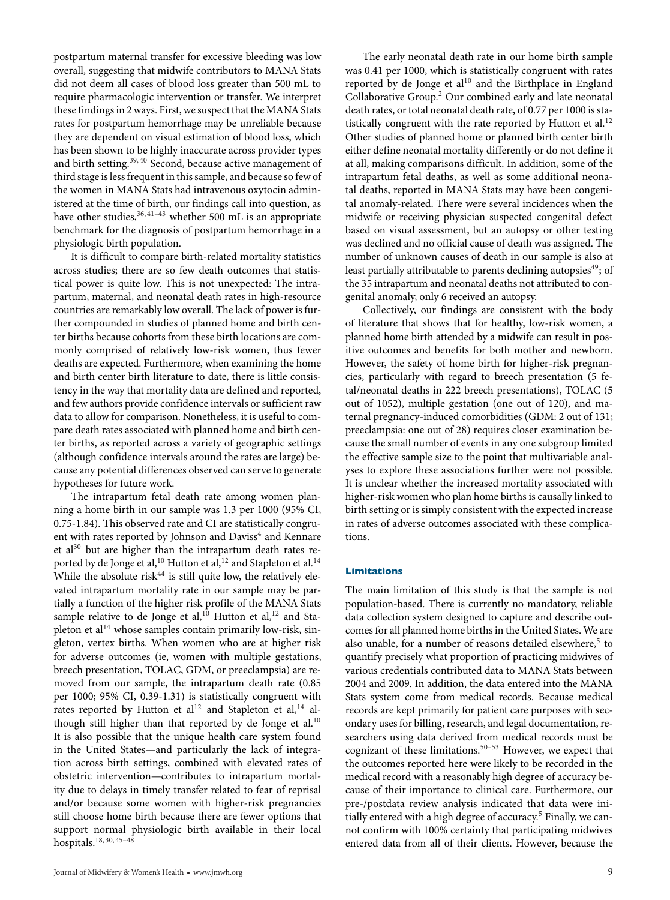postpartum maternal transfer for excessive bleeding was low overall, suggesting that midwife contributors to MANA Stats did not deem all cases of blood loss greater than 500 mL to require pharmacologic intervention or transfer. We interpret these findings in 2 ways. First, we suspect that the MANA Stats rates for postpartum hemorrhage may be unreliable because they are dependent on visual estimation of blood loss, which has been shown to be highly inaccurate across provider types and birth setting.<sup>[39,](#page-10-27) [40](#page-10-28)</sup> Second, because active management of third stage is less frequent in this sample, and because so few of the women in MANA Stats had intravenous oxytocin administered at the time of birth, our findings call into question, as have other studies,  $36, 41-43$  $36, 41-43$  $36, 41-43$  whether 500 mL is an appropriate benchmark for the diagnosis of postpartum hemorrhage in a physiologic birth population.

It is difficult to compare birth-related mortality statistics across studies; there are so few death outcomes that statistical power is quite low. This is not unexpected: The intrapartum, maternal, and neonatal death rates in high-resource countries are remarkably low overall. The lack of power is further compounded in studies of planned home and birth center births because cohorts from these birth locations are commonly comprised of relatively low-risk women, thus fewer deaths are expected. Furthermore, when examining the home and birth center birth literature to date, there is little consistency in the way that mortality data are defined and reported, and few authors provide confidence intervals or sufficient raw data to allow for comparison. Nonetheless, it is useful to compare death rates associated with planned home and birth center births, as reported across a variety of geographic settings (although confidence intervals around the rates are large) because any potential differences observed can serve to generate hypotheses for future work.

The intrapartum fetal death rate among women planning a home birth in our sample was 1.3 per 1000 (95% CI, 0.75-1.84). This observed rate and CI are statistically congru-ent with rates reported by Johnson and Daviss<sup>[4](#page-9-3)</sup> and Kennare et al $30$  but are higher than the intrapartum death rates re-ported by de Jonge et al,<sup>[10](#page-10-1)</sup> Hutton et al,<sup>12</sup> and Stapleton et al.<sup>14</sup> While the absolute risk $44$  is still quite low, the relatively elevated intrapartum mortality rate in our sample may be partially a function of the higher risk profile of the MANA Stats sample relative to de Jonge et al,<sup>10</sup> Hutton et al,<sup>12</sup> and Stapleton et al<sup>14</sup> whose samples contain primarily low-risk, singleton, vertex births. When women who are at higher risk for adverse outcomes (ie, women with multiple gestations, breech presentation, TOLAC, GDM, or preeclampsia) are removed from our sample, the intrapartum death rate (0.85 per 1000; 95% CI, 0.39-1.31) is statistically congruent with rates reported by Hutton et al<sup>[12](#page-10-3)</sup> and Stapleton et al,<sup>14</sup> although still higher than that reported by de Jonge et al. $10$ It is also possible that the unique health care system found in the United States—and particularly the lack of integration across birth settings, combined with elevated rates of obstetric intervention—contributes to intrapartum mortality due to delays in timely transfer related to fear of reprisal and/or because some women with higher-risk pregnancies still choose home birth because there are fewer options that support normal physiologic birth available in their local hospitals.<sup>[18,](#page-10-9) [30,](#page-10-20) 45-[48](#page-10-33)</sup>

The early neonatal death rate in our home birth sample was 0.41 per 1000, which is statistically congruent with rates reported by de Jonge et al<sup>[10](#page-10-1)</sup> and the Birthplace in England Collaborative Group.<sup>[2](#page-9-1)</sup> Our combined early and late neonatal death rates, or total neonatal death rate, of 0.77 per 1000 is statistically congruent with the rate reported by Hutton et al. $12$ Other studies of planned home or planned birth center birth either define neonatal mortality differently or do not define it at all, making comparisons difficult. In addition, some of the intrapartum fetal deaths, as well as some additional neonatal deaths, reported in MANA Stats may have been congenital anomaly-related. There were several incidences when the midwife or receiving physician suspected congenital defect based on visual assessment, but an autopsy or other testing was declined and no official cause of death was assigned. The number of unknown causes of death in our sample is also at least partially attributable to parents declining autopsies<sup>49</sup>; of the 35 intrapartum and neonatal deaths not attributed to congenital anomaly, only 6 received an autopsy.

Collectively, our findings are consistent with the body of literature that shows that for healthy, low-risk women, a planned home birth attended by a midwife can result in positive outcomes and benefits for both mother and newborn. However, the safety of home birth for higher-risk pregnancies, particularly with regard to breech presentation (5 fetal/neonatal deaths in 222 breech presentations), TOLAC (5 out of 1052), multiple gestation (one out of 120), and maternal pregnancy-induced comorbidities (GDM: 2 out of 131; preeclampsia: one out of 28) requires closer examination because the small number of events in any one subgroup limited the effective sample size to the point that multivariable analyses to explore these associations further were not possible. It is unclear whether the increased mortality associated with higher-risk women who plan home births is causally linked to birth setting or is simply consistent with the expected increase in rates of adverse outcomes associated with these complications.

#### Limitations

The main limitation of this study is that the sample is not population-based. There is currently no mandatory, reliable data collection system designed to capture and describe outcomes for all planned home births in the United States. We are also unable, for a number of reasons detailed elsewhere, $5$  to quantify precisely what proportion of practicing midwives of various credentials contributed data to MANA Stats between 2004 and 2009. In addition, the data entered into the MANA Stats system come from medical records. Because medical records are kept primarily for patient care purposes with secondary uses for billing, research, and legal documentation, researchers using data derived from medical records must be cognizant of these limitations.<sup>[50](#page-10-35)-53</sup> However, we expect that the outcomes reported here were likely to be recorded in the medical record with a reasonably high degree of accuracy because of their importance to clinical care. Furthermore, our pre-/postdata review analysis indicated that data were initially entered with a high degree of accuracy.<sup>5</sup> Finally, we cannot confirm with 100% certainty that participating midwives entered data from all of their clients. However, because the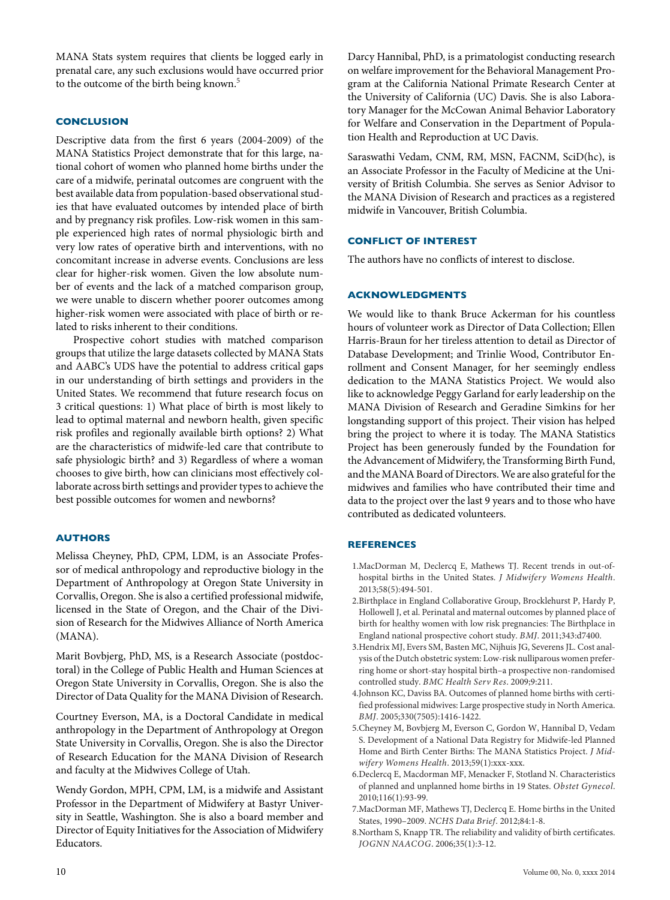MANA Stats system requires that clients be logged early in prenatal care, any such exclusions would have occurred prior to the outcome of the birth being known.<sup>5</sup>

## **CONCLUSION**

Descriptive data from the first 6 years (2004-2009) of the MANA Statistics Project demonstrate that for this large, national cohort of women who planned home births under the care of a midwife, perinatal outcomes are congruent with the best available data from population-based observational studies that have evaluated outcomes by intended place of birth and by pregnancy risk profiles. Low-risk women in this sample experienced high rates of normal physiologic birth and very low rates of operative birth and interventions, with no concomitant increase in adverse events. Conclusions are less clear for higher-risk women. Given the low absolute number of events and the lack of a matched comparison group, we were unable to discern whether poorer outcomes among higher-risk women were associated with place of birth or related to risks inherent to their conditions.

Prospective cohort studies with matched comparison groups that utilize the large datasets collected by MANA Stats and AABC's UDS have the potential to address critical gaps in our understanding of birth settings and providers in the United States. We recommend that future research focus on 3 critical questions: 1) What place of birth is most likely to lead to optimal maternal and newborn health, given specific risk profiles and regionally available birth options? 2) What are the characteristics of midwife-led care that contribute to safe physiologic birth? and 3) Regardless of where a woman chooses to give birth, how can clinicians most effectively collaborate across birth settings and provider types to achieve the best possible outcomes for women and newborns?

## AUTHORS

Melissa Cheyney, PhD, CPM, LDM, is an Associate Professor of medical anthropology and reproductive biology in the Department of Anthropology at Oregon State University in Corvallis, Oregon. She is also a certified professional midwife, licensed in the State of Oregon, and the Chair of the Division of Research for the Midwives Alliance of North America (MANA).

Marit Bovbjerg, PhD, MS, is a Research Associate (postdoctoral) in the College of Public Health and Human Sciences at Oregon State University in Corvallis, Oregon. She is also the Director of Data Quality for the MANA Division of Research.

Courtney Everson, MA, is a Doctoral Candidate in medical anthropology in the Department of Anthropology at Oregon State University in Corvallis, Oregon. She is also the Director of Research Education for the MANA Division of Research and faculty at the Midwives College of Utah.

Wendy Gordon, MPH, CPM, LM, is a midwife and Assistant Professor in the Department of Midwifery at Bastyr University in Seattle, Washington. She is also a board member and Director of Equity Initiatives for the Association of Midwifery Educators.

Darcy Hannibal, PhD, is a primatologist conducting research on welfare improvement for the Behavioral Management Program at the California National Primate Research Center at the University of California (UC) Davis. She is also Laboratory Manager for the McCowan Animal Behavior Laboratory for Welfare and Conservation in the Department of Population Health and Reproduction at UC Davis.

Saraswathi Vedam, CNM, RM, MSN, FACNM, SciD(hc), is an Associate Professor in the Faculty of Medicine at the University of British Columbia. She serves as Senior Advisor to the MANA Division of Research and practices as a registered midwife in Vancouver, British Columbia.

## CONFLICT OF INTEREST

The authors have no conflicts of interest to disclose.

## ACKNOWLEDGMENTS

We would like to thank Bruce Ackerman for his countless hours of volunteer work as Director of Data Collection; Ellen Harris-Braun for her tireless attention to detail as Director of Database Development; and Trinlie Wood, Contributor Enrollment and Consent Manager, for her seemingly endless dedication to the MANA Statistics Project. We would also like to acknowledge Peggy Garland for early leadership on the MANA Division of Research and Geradine Simkins for her longstanding support of this project. Their vision has helped bring the project to where it is today. The MANA Statistics Project has been generously funded by the Foundation for the Advancement of Midwifery, the Transforming Birth Fund, and the MANA Board of Directors.We are also grateful for the midwives and families who have contributed their time and data to the project over the last 9 years and to those who have contributed as dedicated volunteers.

#### <span id="page-9-0"></span>**REFERENCES**

- 1.MacDorman M, Declercq E, Mathews TJ. Recent trends in out-ofhospital births in the United States. *J Midwifery Womens Health*. 2013;58(5):494-501.
- <span id="page-9-1"></span>2.Birthplace in England Collaborative Group, Brocklehurst P, Hardy P, Hollowell J, et al. Perinatal and maternal outcomes by planned place of birth for healthy women with low risk pregnancies: The Birthplace in England national prospective cohort study. *BMJ*. 2011;343:d7400.
- <span id="page-9-2"></span>3.Hendrix MJ, Evers SM, Basten MC, Nijhuis JG, Severens JL. Cost analysis of the Dutch obstetric system: Low-risk nulliparous women preferring home or short-stay hospital birth–a prospective non-randomised controlled study. *BMC Health Serv Res*. 2009;9:211.
- <span id="page-9-3"></span>4.Johnson KC, Daviss BA. Outcomes of planned home births with certified professional midwives: Large prospective study in North America. *BMJ*. 2005;330(7505):1416-1422.
- <span id="page-9-4"></span>5.Cheyney M, Bovbjerg M, Everson C, Gordon W, Hannibal D, Vedam S. Development of a National Data Registry for Midwife-led Planned Home and Birth Center Births: The MANA Statistics Project. *J Midwifery Womens Health*. 2013;59(1):xxx-xxx.
- <span id="page-9-5"></span>6.Declercq E, Macdorman MF, Menacker F, Stotland N. Characteristics of planned and unplanned home births in 19 States. *Obstet Gynecol*. 2010;116(1):93-99.
- 7.MacDorman MF, Mathews TJ, Declercq E. Home births in the United States, 1990–2009. *NCHS Data Brief*. 2012;84:1-8.
- <span id="page-9-6"></span>8.Northam S, Knapp TR. The reliability and validity of birth certificates. *JOGNN NAACOG*. 2006;35(1):3-12.